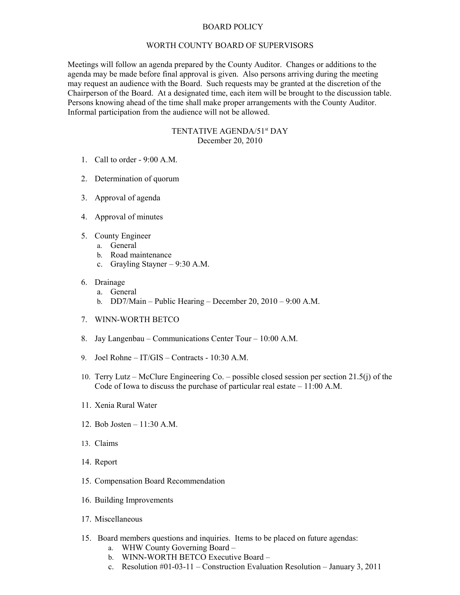## BOARD POLICY

## WORTH COUNTY BOARD OF SUPERVISORS

Meetings will follow an agenda prepared by the County Auditor. Changes or additions to the agenda may be made before final approval is given. Also persons arriving during the meeting may request an audience with the Board. Such requests may be granted at the discretion of the Chairperson of the Board. At a designated time, each item will be brought to the discussion table. Persons knowing ahead of the time shall make proper arrangements with the County Auditor. Informal participation from the audience will not be allowed.

## TENTATIVE AGENDA/51st DAY December 20, 2010

- 1. Call to order 9:00 A.M.
- 2. Determination of quorum
- 3. Approval of agenda
- 4. Approval of minutes
- 5. County Engineer
	- a. General
	- b. Road maintenance
	- c. Grayling Stayner 9:30 A.M.
- 6. Drainage
	- a. General
	- b. DD7/Main Public Hearing December 20, 2010 9:00 A.M.
- 7. WINN-WORTH BETCO
- 8. Jay Langenbau Communications Center Tour 10:00 A.M.
- 9. Joel Rohne IT/GIS Contracts 10:30 A.M.
- 10. Terry Lutz McClure Engineering Co. possible closed session per section 21.5(j) of the Code of Iowa to discuss the purchase of particular real estate – 11:00 A.M.
- 11. Xenia Rural Water
- 12. Bob Josten 11:30 A.M.
- 13. Claims
- 14. Report
- 15. Compensation Board Recommendation
- 16. Building Improvements
- 17. Miscellaneous
- 15. Board members questions and inquiries. Items to be placed on future agendas:
	- a. WHW County Governing Board –
	- b. WINN-WORTH BETCO Executive Board –
	- c. Resolution #01-03-11 Construction Evaluation Resolution January 3, 2011